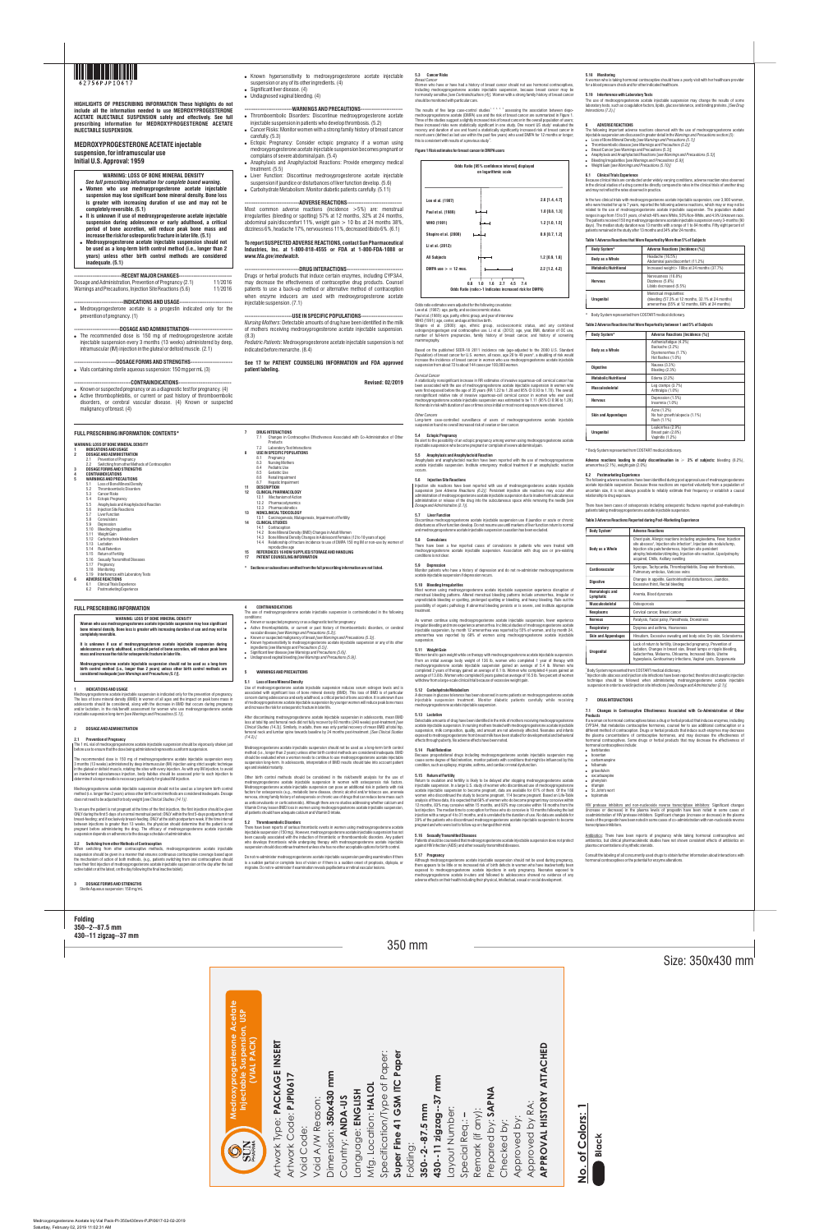350 mm

# Size: 350x430 mm

**Folding 350--2--87.5 mm 430--11 zigzag--37 mm**

**It is unknown if use of medroxyprogesterone acetate injectable suspension during adolescence or early adulthood, a critical period of bone accretion, will reduce peak bone mass and increase the risk for ost** 

**Women who use medroxyprogesterone acetate injectable suspension may lose significant bone mineral density. Bone loss is greater with increasing duration of use and may not be completely reversible.** 

oxyprogesterone acetate injectable suspension is indicated only for the prevention of pregnancy. The loss of bone mineral density (BMD) in women of all ages and the impact on peak bone mass in<br>adolescents should be considered, along with the decrease in BMD that occurs during pregnancy<br>and/or lactation, in the risk/be injectable suspension long-term [*see Warnings and Precautions (5.1)*].

**2.1 Prevention of Pregnancy** The 1 mL vial of medroxyprogesterone acetate injectable suspension should be vigorously shaken just before use to ensure that the dose being administered represents a uniform suspen:

**Medroxyprogesterone acetate injectable suspension should not be used as a long-term birth control method (i.e., longer than 2 years) unless other birth control methods are considered inadequate [***see Warnings and Precautions (5.1)***].**

### **1 INDICATIONS AND USAGE**

## **2 DOSAGE AND ADMINISTRATION**

**3 DOSAGE FORMS AND STRENGTHS**  Sterile Aqueous suspension: 150 mg/ml

The recommended dose is 150 mg of medroxyprogesterone acetate injectable suspension every 3 months (13 weeks) administered by deep intramuscular (IM) injection using strict aseptic technique in the gluteal or deltoid muscle, rotating the sites with every injection. As with any IM injection, to avoid an inadvertent subcutaneous injection, body habitus should be assessed prior to each injection to determine if a longer needle is necessary particularly for gluteal IM injection.

Medroxyprogesterone acetate injectable suspension should not be used as a long-term birth control method (i.e. longer than 2 years) unless other birth control methods are considered inadequate. Dosage does not need to be adjusted for body weight [*see Clinical Studies (14.1)]*.

To ensure the patient is not pregnant at the time of the first injection, the first injection should be given ONLY during the first 5 days of a normal menstrual period; ONLY within the first 5-days postpartum if not breast-feeding; and if exclusively breast-feeding, ONLY at the sixth postpartum week. If the time interval between injections is greater than 13 weeks, the physician should determine that the patient is not pregnant before administering the drug. The efficacy of medroxyprogesterone acetate injectable suspension depends on adherence to the dosage schedule of administration.

## **2.2 Switching from other Methods of Contraception**

When switching from other contraceptive methods, medroxyprogesterone acetate injectable suspension should be given in a manner that ensures continuous contraceptive coverage based upon the mechanism of action of both methods, (e.g., patients switching from oral contraceptives should have their first injection of medroxyprogesterone acetate injectable suspension on the day after the last active tablet or at the latest, on the day following the final inactive tablet).

**4 CONTRAINDICATIONS** 

The use of medroxyprogesterone acetate injectable suspension is contraindicated in the following

conditions:

! Known or suspected pregnancy or as a diagnostic test for pregnancy. ! Active thrombophlebitis, or current or past history of thromboembolic disorders, or cerebral vascular disease *[see Warnings and Precautions (5.2)]*.

! Known or suspected malignancy of breast *[see Warnings and Precautions (5.3)]*. ! Known hypersensitivity to medroxyprogesterone acetate injectable suspension or any of its other

ingredients *[see Warnings and Precautions (5.5)]*. ! Significant liver disease *[see Warnings and Precautions (5.6)]*. ! Undiagnosed vaginal bleeding *[see Warnings and Precautions (5.9)]*.

Lee et al. (1987): age, parity, and socioeconomic status. Paul et al. (1989): age, parity, ethnic group, and year of interview.

## **5 WARNINGS AND PRECAUTIONS**

#### **5.1 Loss of Bone Mineral Density**

estrogen/progestogen oral contraceptive use. Li et al. (2012): age, year, BMI, duration of OC use number of full-term pregnancies, family history of breast cancer, and history of screening mammography.

Use of medroxyprogesterone acetate injectable suspension reduces serum estrogen levels and is associated with significant loss of bone mineral density (BMD). This loss of BMD is of particular concern during adolescence and early adulthood, a critical period of bone accretion. It is unknown if use of medroxyprogesterone acetate injectable suspension by younger women will reduce peak bone mass and increase the risk for osteoporotic fracture in later life.

Based on the published SEER-18 2011 incidence rate (age-adjusted to the 2000 U.S. Standard Population) of breast cancer for U.S. women, all races, age 20 to 49 years<sup>6</sup>, a doubling of risk would increase the incidence of breast cancer in women who use medroxyprogesterone acetate injectable suspension from about 72 to about 144 cases per 100,000 women.

After discontinuing medroxyprogesterone acetate injectable suspension in adolescents, mean BMD loss at total hip and femoral neck did not fully recover by 60 months (240 weeks) post-treatment *[see Clinical Studies (14.3)].* Similarly, in adults, there was only partial recovery of mean BMD at total hip, femoral neck and lumbar spine towards baseline by 24 months post-treatment. *[See Clinical Studies (14.2).]* 

Medroxyprogesterone acetate injectable suspension should not be used as a long-term birth control method (i.e., longer than 2 years) unless other birth control methods are considered inadequate. BMD should be evaluated when a woman needs to continue to use medroxyprogesterone acetate injectable  $s$ pension long-term. In adolescents, interpretation of BMD results should take into account patient age and skeletal maturity.

Other birth control methods should be considered in the risk/benefit analysis for the use of medroxyprogesterone acetate injectable suspension in women with osteoporosis risk factors. Medroxyprogesterone acetate injectable suspension can pose an additional risk in patients with risk factors for osteoporosis (e.g., metabolic bone disease, chronic alcohol and/or tobacco use, anorexia nervosa, strong family history of osteoporosis or chronic use of drugs that can reduce bone mass such as anticonvulsants or corticosteroids). Although there are no studies addressing whether calcium and Vitamin D may lessen BMD loss in women using medroxyprogesterone acetate injectable suspension, all patients should have adequate calcium and Vitamin D intake.

irregular bleeding and more experience amenorrhea. In clinical st injectable suspension, by month 12 amenorrhea was reported by 55% of women, and by month 24, amenorrhea was reported by 68% of women using medroxyprogesterone acetate injectable suspension.

#### **5.2 Thromboembolic Disorders**

There have been reports of serious thrombotic events in women using medroxyprogesterone acetate injectable suspension (150 mg). However, medroxyprogesterone acetate injectable suspension has not been causally associated with the induction of thrombotic or thromboembolic disorders. Any patient who develops thrombosis while undergoing therapy with medroxyprogesterone acetate injectable suspension should discontinue treatment unless she has no other acceptable options for birth control.

Do not re-administer medroxyprogesterone acetate injectable suspension pending examination if there is a sudden partial or complete loss of vision or if there is a sudden onset of proptosis, diplopia, or migraine. Do not re-administer if examination reveals papilledema or retinal vascular lesions.

#### **5.3 Cancer Risks**  *Breast Cancer*

Women who have or have had a history of breast cancer should not use hormonal contraceptives, including medroxyprogesterone acetate injectable suspension, because breast cancer may be hormonally sensitive *[see Contraindications (4)].* Women with a strong family history of breast cancer should be monitored with particular care.

The results of five large case-control studies<sup>t, 2, 3, 4, 5</sup> assessing the association between depo-<br>medroxyprogesterone acetate (DMPA) use and the risk of breast cancer are summarized in Figure 1. Three of the studies suggest a slightly increased risk of breast cancer in the overall population of users;<br>these increased risks were statistically significant in one study. One recent US study' evaluated the recency and duration of use and found a statistically significantly increased risk of breast cancer in recent users (defined as last use within the past five years) who used DMPA for 12 months or longer; this is consistent with results of a previous study<sup>4</sup>.

Although medroxyprogesterone acetate injectable suspension should not be used during pregnancy, there appears to be little or no increased risk of birth defects in women who have inadvertently been exposed to medroxyprogesterone acetate injections in early pregnancy. Neonates exposed to<br>medroxyprogesterone acetate in-utero and followed to adolescence showed no evidence of any<br>adverseeffects.ontheir.health.including.t

## **Figure 1 Risk estimates for breast cancer in DMPA users**

Odds ratio estimates were adjusted for the following covariates:

WHO (1991): age, center, and age at first live birth. Shapiro et al. (2000): age, ethnic group, socioeconomic status, and any combined

In the two clinical trials with medroxyprogesterone acetate injectable suspension, over 3,900 women who were treated for up to 7 years, reported the following adverse reactions, which may or may not be<br>related to the use of medroxyprogesterone acetate injectable suspension. The population studied<br>ranges in age fr The patients received 150 mg medroxyprogesterone acetate injectable suspension every 3-months (90 days). The median study duration was 13 months with a range of 1 to 84 months. Fifty eight percent of

### *Cervical Cancer*

The following adverse reactions have been identified during post approval use of medroxyprogesterone acetate injectable suspension. Because these reactions are reported voluntarily from a population of uncertain size, it is not always possible to reliably estimate their frequency or establish a causal

A statistically nonsignificant increase in RR estimates of invasive squamous-cell cervical cancer has been associated with the use of medroxyprogesterone acetate injectable suspension in women who were first exposed before the age of 35 years (RR 1.22 to 1.28 and 95% CI 0.93 to 1.70). The overall, nonsignificant relative rate of invasive squamous-cell cervical cancer in women who ever used medroxyprogesterone acetate injectable suspension was estimated to be 1.11 (95% CI 0.96 to 1.29). No trends in risk with duration of use or times since initial or most recent exposure were observed.

> $^{2}$  Injection site abscess and injection site infections have been reported; therefore strict aseptic injection technique should be followed when administering medroxyprogesterone acetate injectable suspension in order to avoid injection site infections *[see Dosage and Administration (2.1)].*

### *Other Cancers*

Long-term case-controlled surveillance of users of medroxyprogesterone acetate injectable suspension found no overall increased risk of ovarian or liver cancer.

- bosentan **.** carbamazepine
- ! felbamate
- · griseofulvin oxcarbazepine
- phenytoin
- rifampin ! St. John's wort

**5.4 Ectopic Pregnancy** Be alert to the possibility of an ectopic pregnancy among women using medroxyprogesterone acetate injectable suspension who become pregnant or complain of severe abdominal pain.

#### **5.5 Anaphylaxis and Anaphylactoid Reaction**

Consult the labeling of all concurrently used drugs to obtain further information about interactions with hormonal contraceptives or the potential for enzyme alteration

lerone Acetate<br>pension, USP<br>ACK) **Medroxyprogesterone Acetate Injectable Suspension, USP (VIAL PACK)** Artwork Type: **PACKAGE INSERT CKAGE INSERT** 읎 **APPROVAL HISTORY ATTACHED Super Fine 41 GSM ITC Paper**   $\mathbf{z}$ per: Specification/Type of Paper: ି ଦ **ATTACH** Pap  $\overline{Q}$ mm Dimension: **350x430 mm** Artwork Type: **PACKAGE**<br>Artwork Code: **PJPI0617** Artwork Code: **PJPI0617** mm **430--11 zigzag--37 mm U** Mfg. Location: HALOL Mfg. Location: **HALOL**  $\sigma$ Prepared by: **SAPNA**   $by:$  SAPNA Specification/Type c<br>Super Fine 41 GSM IT Void A/W Reason:<br>Dimension: 350x430 Language: ENGLISH **350--2--87.5 mm** Inject Language: **ENGLISH** Approved by RA:<br>**APPROVAL HISTORY** Void A/W Reason: Country: ANDA-US Country: **ANDA-US** Approved by RA: Special Req.: -<br>Remark (if any): Remark (if any): **No. of Colors: 1** Layout Number: Layout Number: Special Req.: **–**  Approved by:<br>Approved by R Colors: Checked by: Approved by: Checked by: Void Code: Void Code:  $\tilde{\alpha}$  $\forall$ Prepared OBSER Folding:  $\overline{\sigma}$ Void  $\frac{\dot{\mathsf{Q}}}{\mathsf{Z}}$ 

Anaphylaxis and anaphylactoid reaction have been reported with the use of medroxyprogesterone acetate injectable suspension. Institute emergency medical treatment if an anaphylactic reaction occurs.

#### **5.6 Injection Site Reactions**

Injection site reactions have been reported with use of medroxyprogesterone acetate injectable suspension *[see Adverse Reactions (6.2)]*. Persistent injection site reactions may occur after administration of medroxyprogesterone acetate injectable suspension due to inadvertent subcutaneous administration or release of the drug into the subcutaneous space while removing the needle *[see Dosage and Administration (2.1)].* 

#### **5.7 Liver Function**

Discontinue medroxyprogesterone acetate injectable suspension use if jaundice or acute or chronic disturbances of liver function develop. Do not resume use until markers of liver function return to normal and medroxyprogesterone acetate injectable suspension causation has been excluded.

#### **5.8 Convulsions**

- The recommended dose is 150 mg of medroxyprogesterone acetate injectable suspension every 3 months (13 weeks) administered by deep, intramuscular (IM) injection in the gluteal or deltoid muscle. (2.1)
- -----DOSAGE FORMS AND STRENGTHS---! Vials containing sterile aqueous suspension: 150 mg per mL (3)

#### **5.9 Depression**

Monitor patients who have a history of depression and do not re-administer medroxyprogesterone acetate injectable suspension if depression recurs.

- $\bullet$  Known or suspected pregnancy or as a diagnostic test for pregnancy. (4)
- Active thrombophlebitis, or current or past history of thromboembolic disorders, or cerebral vascular disease. (4) Known or suspected malignancy of breast. (4)
- ! Known hypersensitivity to medroxyprogesterone acetate injectable suspension or any of its other ingredients. (4)
- $\bullet$  Significant liver disease. (4) • Undiagnosed vaginal bleeding. (4)
- 
- -----WARNINGS AND PRECAUTIONS-----. Thromboembolic Disorders: Discontinue medroxyprogesterone acetate
- injectable suspension in patients who develop thrombosis. (5.2)
- . Cancer Risks: Monitor women with a strong family history of breast cancer carefully. (5.3)
- Ectopic Pregnancy: Consider ectopic pregnancy if a woman using medroxyprogesterone acetate injectable suspension becomes pregnant or complains of severe abdominal pain. (5.4)
- Anaphylaxis and Anaphylactoid Reactions: Provide emergency medical treatment. (5.5)
- . Liver Function: Discontinue medroxyprogesterone acetate injectable suspension if jaundice or disturbances of liver function develop. (5.6)
- Carbohydrate Metabolism: Monitor diabetic patients carefully. (5.11)

## **5.10 Bleeding Irregularities**

Most women using medroxyprogesterone acetate injectable suspension experience disruption of menstrual bleeding patterns. Altered menstrual bleeding patterns include amenorrhea, irregular or unpredictable bleeding or spotting, prolonged spotting or bleeding, and heavy bleeding. Rule out the possibility of organic pathology if abnormal bleeding persists or is severe, and institute appropriate treatment.

As women continue using medroxyprogesterone acetate injectable suspension, fewer experience

#### **5.11 Weight Gain**

---DRUG INTERACTIONS---Drugs or herbal products that induce certain enzymes, including CYP3A4, may decrease the effectiveness of contraceptive drug products. Counsel patients to use a back-up method or alternative method of contraception when enzyme inducers are used with medroxyprogesterone acetate injectable suspension. (7.1)

## ----USE IN SPECIFIC POPULATIONS---

Women tend to gain weight while on therapy with medroxyprogesterone acetate injectable suspension. From an initial average body weight of 136 lb, women who completed 1 year of therapy with medroxyprogesterone acetate injectable suspension gained an average of 5.4 lb. Women who completed 2 years of therapy gained an average of 8.1 lb. Women who completed 4 years gained an average of 13.8 lb. Women who completed 6 years gained an average of 16.5 lb. Two percent of women withdrew from a large-scale clinical trial because of excessive weight gain.

- **3 DOSAGE FORMS AND STRENGTHS**
- **4 CONTRAINDICATIONS**
- **5 WARNINGS AND PRECAUTIONS**
- 5.1 Loss of Bone Mineral Density<br>5.2 Thromboembolic Disorders 5.2 Thromboembolic Disorders
- 5.3 Cancer Risks<br>5.4 Ectonic Pregna **Ectopic Pregnancy**
- 5.5 Anaphylaxis and Anaphylactoid Reaction<br>5.6 Injection Site Reactions
- 5.6 Injection Site Reactions<br>5.7 I iver Function
- 5.7 Liver Function<br>5.8 Convulsions<br>5.9 Depression
- **Convulsions** Depression
- **Bleeding Irregularities**
- 5.11 Weight Gain
- 5.12 Carbohydrate Metabolism 5.13 Lactation
- 5.14 Fluid Retention
- Return of Fertility
- 5.16 Sexually Transmitted Diseases
- 5.17 Pregnancy
- 5.18 Monitoring 5.19 Interference with Laboratory Tests
- **6 ADVERSE REACTIONS**
- Clinical Trials Experience
- 6.2 Postmarketing Experience
- **FULL PRESCRIBING INFORMATION**
- **WARNING: LOSS OF BONE MINERAL DENSITY**

#### **5.12 Carbohydrate Metabolism**

A decrease in glucose tolerance has been observed in some patients on medroxyprogesterone acetate injectable suspension treatment. Monitor diabetic patients carefully while receiving medroxyprogesterone acetate injectable suspension.

#### **5.13 Lactation**

Detectable amounts of drug have been identified in the milk of mothers receiving medroxyprogesterone acetate injectable suspension. In nursing mothers treated with medroxyprogesterone acetate injectable suspension, milk composition, quality, and amount are not adversely affected. Neonates and infants exposed to medroxyprogesterone from breast milk have been studied for developmental and behavioral effects through puberty. No adverse effects have been noted.

### **5.14 Fluid Retention**

Nervousness (10.8%) Dizziness (5.6%) Libido decreased (5.5%)

Because progestational drugs including medroxyprogesterone acetate injectable suspension may cause some degree of fluid retention, monitor patients with conditions that might be influenced by this condition, such as epilepsy, migraine, asthma, and cardiac or renal dysfunction.

#### **5.15 Return of Fertility**

**Metabolic/Nutritional** Edema (2.2%) **Musculoskeletal** Leg cramps (3.7%)

> Leukorrhea (2.9% Breast pain (2.8%) Vaginitis (1.2%)

Chest pain, Allergic reactions including angioedema, Fever, Injection<br>site abscess<sup>2</sup>, Injection site infection<sup>2</sup>, Injection site nodule/lump, Injection site pain/tenderness, Injection site persistent atrophy/indentation/dimpling, Injection-site reaction, Lipodystrophy

acquired, Chills, Axillary swelling **Cardiovascular Syncope, Tachycardia, Thrombophlebitis, Deep vein thrombosis, Cardiovascular** Pulmonary embolus, Varicose veins **Digestive Changes in appetite, Gastrointestinal disturbances, Jaundice, <b>Excessive thirst, Rectal bleeding** 

Return to ovulation and fertility is likely to be delayed after stopping medroxyprogesterone acetate injectable suspension. In a large U.S. study of women who discontinued use of medroxyproge acetate injectable suspension to become pregnant, data are available for 61% of them. Of the 188 women who discontinued the study to become pregnant, 114 became pregnant. Based on Life-Table<br>analysis of these data, it is expected that 68% of women who do become pregnant may conceive within<br>12 months, 83% may conceive last injection. The median time to conception for those who do conceive is 10 months following the last injection with a range of 4 to 31 months, and is unrelated to the duration of use. No data are available for 39% of the patients who discontinued medroxyprogesterone acetate injectable suspension to become pregnant and who were lost to follow-up or changed their mind.

**Lymphatic and Lymphatic Anemia, Blood dyscrasially Musculoskeletal** Osteoporosis

**Neoplasms Cervical cancer, Breast cancer** 

### **5.16 Sexually Transmitted Diseases**

Patients should be counseled that medroxyprogesterone acetate injectable suspension does not protect against HIV infection (AIDS) and other sexually transmitted diseases.

#### **5.17 Pregnancy**

### **5.18 Monitoring**

A woman who is taking hormonal contraceptive should have a yearly visit with her healthcare provider for a blood pressure check and for other indicated healthcare.

## **5.19 Interference with Laboratory Tests**

The use of medroxyprogesterone acetate injectable suspension may change the results of some laboratory tests, such as coagulation factors, lipids, glucose tolerance, and binding proteins. *[See Drug Interactions (7.2).]* 

### **6 ADVERSE REACTIONS**

The following important adverse reactions observed with the use of medroxyprogesterone acetate injectable suspension are discussed in greater detail in the *Warnings and Precautions* section (*5*): ! Loss of Bone Mineral Density *[see Warnings and Precautions (5.1)]* 

- 
- ! Thromboembolic disease *[see Warnings and Precautions (5.2)]*  ! Breast Cancer [see Warnings and Precautions (5.3)]
- ! Anaphylaxis and Anaphylactoid Reactions [*see Warnings and Precautions (5.5)*]
- ! Bleeding Irregularities [*see Warnings and Precautions (5.9)*] ! Weight Gain [*see Warnings and Precautions (5.10)]*
- 

### **6.1 Clinical Trials Experience**

Because clinical trials are conducted under widely varying conditions, adverse reaction rates observed in the clinical studies of a drug cannot be directly compared to rates in the clinical trials of another drug

and may not reflect the rates observed in practice.

patients remained in the study after 13 months and 34% after 24 months. **Table 1 Adverse Reactions that Were Reported by More than 5% of Subjects**

\* Body System represented from COSTART medical dictionary.

**Digestive Nausea** (3.3%)

**Table 2 Adverse Reactions that Were Reported by between 1 and 5% of Subjects**

Body System\* **Adverse Reactions [Incidence (%)]** 

\* Body System represented from COSTART medical dictionary.

**Adverse reactions leading to study discontinuation in** ≥ **2% of subjects:** bleeding (8.2%),

amenorrhea (2.1%), weight gain (2.0%) **6.2 Postmarketing Experience**

relationship to drug exposure.

**Body System** 

There have been cases of osteoporosis including osteoporotic fractures reported post-marketing in

patients taking medroxyprogesterone acetate injectable suspension. **Table 3 Adverse Reactions Reported during Post-Marketing Experience**

1 Body System represented from COSTART medical dictionary.

There have been a few reported cases of convulsions in patients who were treated with medroxyprogesterone acetate injectable suspension. Association with drug use or pre-existing conditions is not clear. **15 REFERENCES 16 HOW SUPPLIED/STORAGE AND HANDLING** 

#### **7 DRUG INTERACTIONS**

#### **7.1 Changes in Contraceptive Effectiveness Associated with Co-Administration of Other Products**

If a woman on hormonal contraceptives takes a drug or herbal product that induces enzymes, including CYP3A4, that metabolize contraceptive hormones, counsel her to use additional contraception or a different method of contraception. Drugs or herbal products that induce such enzymes may decrease the plasma concentrations of contraceptive hormones, and may decrease the effectiveness of hormonal contraceptives. Some drugs or herbal products that may decrease the effectiveness of hormonal contraceptives include: ! barbiturates

HIV protease inhibitors and non-nucleoside reverse transcriptase inhibitors: Significant changes (increase or decrease) in the plasma levels of progestin have been noted in some cases of coadministration of HIV protease inhibitors. Significant changes (increase or decrease) in the plasma levels of the progestin have been noted in some cases of co-administration with non-nucleoside reverse transcriptase inhibitors.

Antibiotics: There have been reports of pregnancy while taking hormonal contraceptives and antibiotics, but clinical pharmacokinetic studies have not shown consistent effects of antibiotics on plasma concentrations of synthetic steroids.



**HIGHLIGHTS OF PRESCRIBING INFORMATION These highlights do not include all the information needed to use MEDROXYPROGESTERONE ACETATE INJECTABLE SUSPENSION safely and effectively. See full prescribing information for MEDROXYPROGESTERONE ACETATE INJECTABLE SUSPENSION.** 

## **MEDROXYPROGESTERONE ACETATE injectable suspension, for intramuscular use Initial U.S. Approval: 1959**

## **WARNING: LOSS OF BONE MINERAL DENSITY**

- *See full prescribing information for complete boxed warning***.**  ! **Women who use medroxyprogesterone acetate injectable suspension may lose significant bone mineral density. Bone loss is greater with increasing duration of use and may not be completely reversible. (5.1)**
- ! **It is unknown if use of medroxyprogesterone acetate injectable suspension during adolescence or early adulthood, a critical period of bone accretion, will reduce peak bone mass and increase the risk for osteoporotic fracture in later life. (5.1)**
- ! **Medroxyprogesterone acetate injectable suspension should not be used as a long-term birth control method (i.e., longer than 2 years) unless other birth control methods are considered inadequate. (5.1)**

-**---RECENT MAJOR CHANGES-------------------------------**<br>stration, Prevention of Pregnancy (2.1) 11/2016 Dosage and Administration, Prevention of Pregnancy (2.1) Warnings and Precautions, Injection Site Reactions (5.6) 11/2016

## **---------------------------INDICATIONS AND USAGE-----------------------------** ! Medroxyprogesterone acetate is a progestin indicated only for the prevention of pregnancy. (1)

**-------------------------DOSAGE AND ADMINISTRATION------------------------**

#### **-------------------------------CONTRAINDICATIONS-----------------------------**

## **------------------------------ADVERSE REACTIONS------------------------------** Most common adverse reactions (incidence >5%) are: menstrual irregularities (bleeding or spotting) 57% at 12 months, 32% at 24 months,

abdominal pain/discomfort 11%, weight gain > 10 lbs at 24 months 38%, dizziness 6%, headache 17%, nervousness 11%, decreased libido 6%. (6.1)

## **To report SUSPECTED ADVERSE REACTIONS, contact Sun Pharmaceutical Industries, Inc. at 1-800-818-4555 or FDA at 1-800-FDA-1088 or**  *www.fda.gov/medwatch***.**

*Nursing Mothers*: Detectable amounts of drug have been identified in the milk of mothers receiving medroxyprogesterone acetate injectable suspension. (8.3)

*Pediatric Patients*: Medroxyprogesterone acetate injectable suspension is not indicated before menarche. (8.4)

**See 17 for PATIENT COUNSELING INFORMATION and FDA approved** 

**patient labeling.**

**DRUG INTERACTIONS**<br>7.1 Changes in Co

**Revised: 02/2019**

### **FULL PRESCRIBING INFORMATION: CONTENTS\***

## **WARNING: LOSS OF BONE MINERAL DENSITY 1 INDICATIONS AND USAGE 2 DOSAGE AND ADMINISTRATION** 2.1 Prevention of Pregnancy 2.2 Switching from other Methods of Contraception

7.1 Changes in Contraceptive Effectiveness Associated with Co-Administration of Other

Products 7.2 Laboratory Test Interactions **8 USE IN SPECIFIC POPULATIONS** 8.1 Pregnancy 8.3 Nursing Mothers 8.4 Pediatric Use<br>8.5 Geriatric Use Geriatric Use 8.6 Renal Impairment 8.7 Hepatic Impairment

**11 DESCRIPTION** 

**12 CLINICAL PHARMACOLOGY** 12.1 Mechanism of Action 12.2 Pharmacodynamics 12.3 Pharmacokinetics **13 NONCLINICAL TOXICOLOGY**

13.1 Carcinogenesis, Mutagenesis, Impairment of Fertility

**14 CLINICAL STUDIES** 14.1 Contraception

14.2 Bone Mineral Density (BMD) Changes in Adult Women

14.3 Bone Mineral Density Changes in Adolescent Females (12 to 18 years of age) 14.4 Relationship of fracture incidence to use of DMPA 150 mg IM or non-use by women of

reproductive age

**17 PATIENT COUNSELING INFORMATION**

**\* Sections or subsections omitted from the full prescribing information are not listed.**

| Odds Ratio [95% confidence interval] displayed<br>on logarithmic scale |                                                                                            |                  |  |  |  |
|------------------------------------------------------------------------|--------------------------------------------------------------------------------------------|------------------|--|--|--|
|                                                                        |                                                                                            |                  |  |  |  |
| Lee et al. (1987)                                                      |                                                                                            | $2.6$ [1.4, 4.7] |  |  |  |
| Paul et al. (1989)                                                     |                                                                                            | $1.0$ [0.8, 1.3] |  |  |  |
| WHO (1991)                                                             |                                                                                            | $1.2$ [1.0, 1.5] |  |  |  |
| Shapiro et al. (2000)                                                  |                                                                                            | $0.9$ [0.7, 1.2] |  |  |  |
| Li et al. (2012):                                                      |                                                                                            |                  |  |  |  |
| <b>All Subjects</b>                                                    | ۳                                                                                          | $1.2$ [0.9, 1.6] |  |  |  |
| DMPA use $>$ = 12 mos.                                                 |                                                                                            | $2.2$ [1.2, 4.2] |  |  |  |
| 0.6                                                                    | $1.0$ $1.6$ $2.7$<br>$4.5$ 7.4<br>Odds Ratio (ratio > 1 Indicates increased risk for DMPA) |                  |  |  |  |

**Body System\* Adverse Reactions [Incidence (%)]** 

**Metabolic/Nutritional Increased weight> 10lbs at 24 months (37.7%)** 

**Body as a Whole** Headache (16.5%)

Abdominal pain/discomfort (11.2%)

**Nervous** 

**Urogenital** 

Menstrual irregularities:

(bleeding (57.3% at 12 months, 32.1% at 24 months) amenorrhea (55% at 12 months, 68% at 24 months)

**Body as a Whole** 

Asthenia/fatigue (4.2%) Backache (2.2%) Dysmenorrhea (1.7%) Hot flashes (1.0%)

Bloating (2.3%)

Arthralgia (1.0%)

**Nervous** 

Depression (1.5%) Insomnia (1.0%)

**Skin and Appendages** 

Acne (1.2%)

No hair growth/alopecia (1.1%)

Rash (1.1%)

**Urogenital** 

**Body System Adverse Reactions** 

**Body as a Whole** 

**Hematologic and** 

**Nervous** Paralysis, Facial palsy, Paresthesia, Drowsiness



**Black**

• topiramate